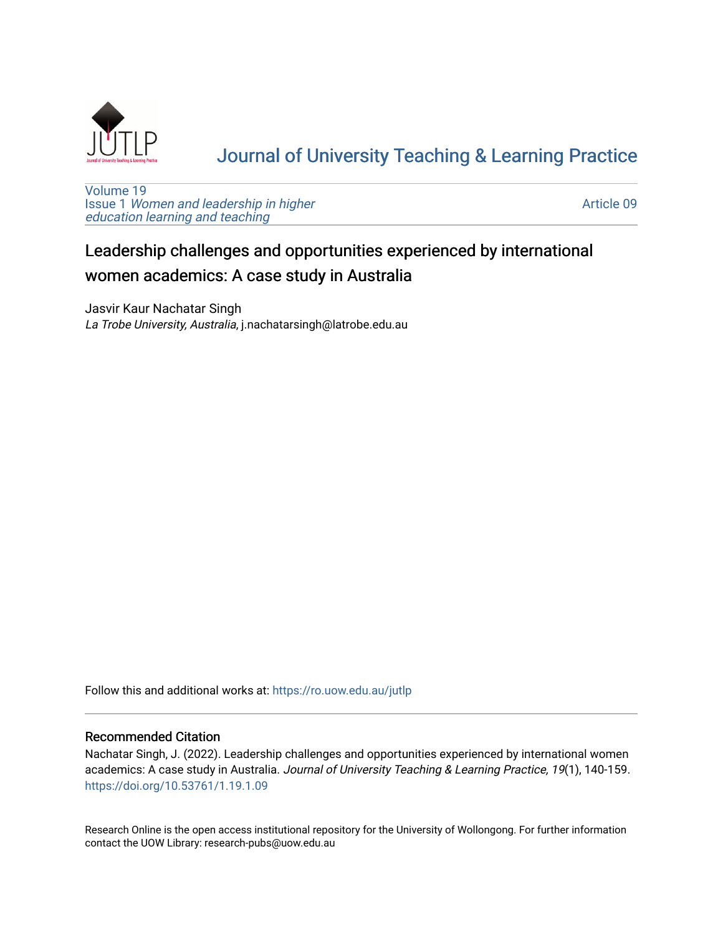

# [Journal of University Teaching & Learning Practice](https://ro.uow.edu.au/jutlp)

[Volume 19](https://ro.uow.edu.au/jutlp/vol19) Issue 1 [Women and leadership in higher](https://ro.uow.edu.au/jutlp/vol19/iss1) [education learning and teaching](https://ro.uow.edu.au/jutlp/vol19/iss1)

[Article 09](https://ro.uow.edu.au/jutlp/vol19/iss1/09) 

# Leadership challenges and opportunities experienced by international women academics: A case study in Australia

Jasvir Kaur Nachatar Singh La Trobe University, Australia, j.nachatarsingh@latrobe.edu.au

Follow this and additional works at: [https://ro.uow.edu.au/jutlp](https://ro.uow.edu.au/jutlp?utm_source=ro.uow.edu.au%2Fjutlp%2Fvol19%2Fiss1%2F09&utm_medium=PDF&utm_campaign=PDFCoverPages) 

## Recommended Citation

Nachatar Singh, J. (2022). Leadership challenges and opportunities experienced by international women academics: A case study in Australia. Journal of University Teaching & Learning Practice, 19(1), 140-159. <https://doi.org/10.53761/1.19.1.09>

Research Online is the open access institutional repository for the University of Wollongong. For further information contact the UOW Library: research-pubs@uow.edu.au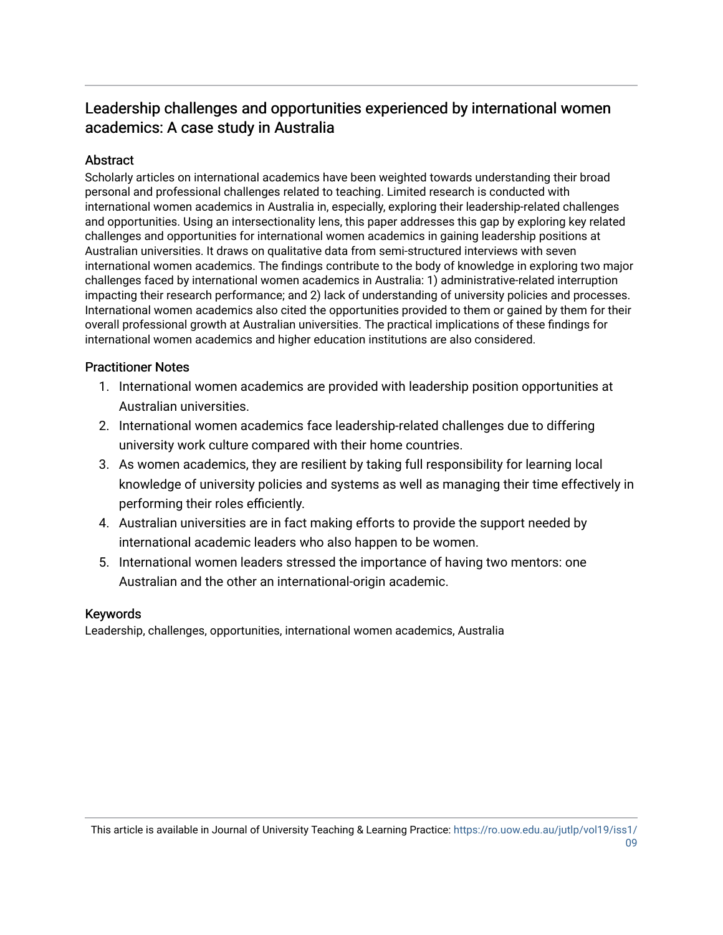# Leadership challenges and opportunities experienced by international women academics: A case study in Australia

## **Abstract**

Scholarly articles on international academics have been weighted towards understanding their broad personal and professional challenges related to teaching. Limited research is conducted with international women academics in Australia in, especially, exploring their leadership-related challenges and opportunities. Using an intersectionality lens, this paper addresses this gap by exploring key related challenges and opportunities for international women academics in gaining leadership positions at Australian universities. It draws on qualitative data from semi-structured interviews with seven international women academics. The findings contribute to the body of knowledge in exploring two major challenges faced by international women academics in Australia: 1) administrative-related interruption impacting their research performance; and 2) lack of understanding of university policies and processes. International women academics also cited the opportunities provided to them or gained by them for their overall professional growth at Australian universities. The practical implications of these findings for international women academics and higher education institutions are also considered.

## Practitioner Notes

- 1. International women academics are provided with leadership position opportunities at Australian universities.
- 2. International women academics face leadership-related challenges due to differing university work culture compared with their home countries.
- 3. As women academics, they are resilient by taking full responsibility for learning local knowledge of university policies and systems as well as managing their time effectively in performing their roles efficiently.
- 4. Australian universities are in fact making efforts to provide the support needed by international academic leaders who also happen to be women.
- 5. International women leaders stressed the importance of having two mentors: one Australian and the other an international-origin academic.

## Keywords

Leadership, challenges, opportunities, international women academics, Australia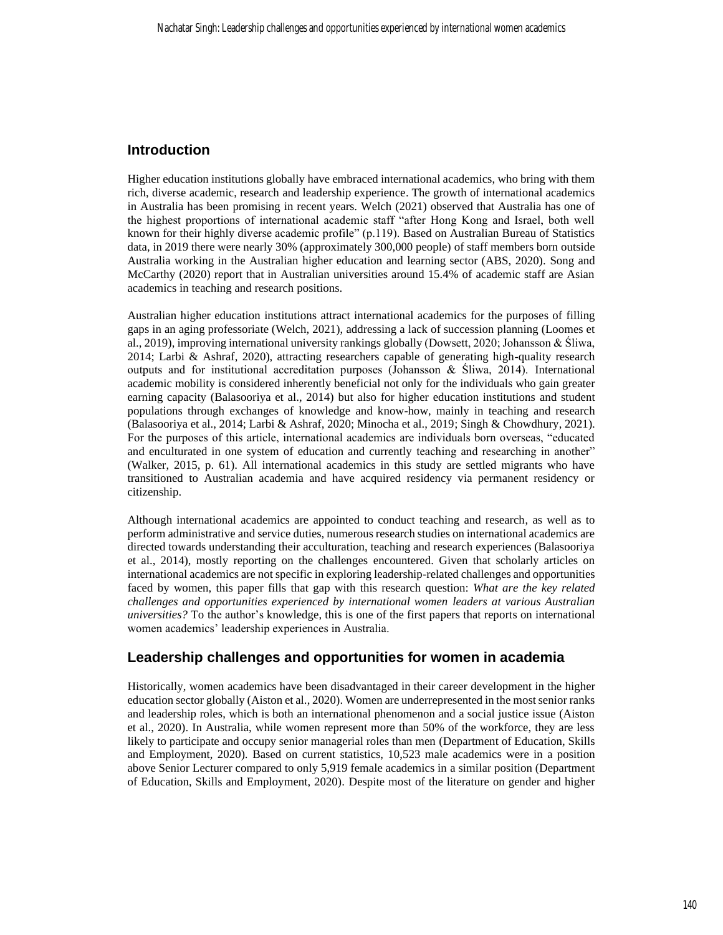## **Introduction**

Higher education institutions globally have embraced international academics, who bring with them rich, diverse academic, research and leadership experience. The growth of international academics in Australia has been promising in recent years. Welch (2021) observed that Australia has one of the highest proportions of international academic staff "after Hong Kong and Israel, both well known for their highly diverse academic profile" (p.119). Based on Australian Bureau of Statistics data, in 2019 there were nearly 30% (approximately 300,000 people) of staff members born outside Australia working in the Australian higher education and learning sector (ABS, 2020). Song and McCarthy (2020) report that in Australian universities around 15.4% of academic staff are Asian academics in teaching and research positions.

Australian higher education institutions attract international academics for the purposes of filling gaps in an aging professoriate (Welch, 2021), addressing a lack of succession planning (Loomes et al., 2019), improving international university rankings globally (Dowsett, 2020; Johansson & Śliwa, 2014; Larbi & Ashraf, 2020), attracting researchers capable of generating high-quality research outputs and for institutional accreditation purposes (Johansson & Śliwa, 2014). International academic mobility is considered inherently beneficial not only for the individuals who gain greater earning capacity (Balasooriya et al., 2014) but also for higher education institutions and student populations through exchanges of knowledge and know-how, mainly in teaching and research (Balasooriya et al., 2014; Larbi & Ashraf, 2020; Minocha et al., 2019; Singh & Chowdhury, 2021). For the purposes of this article, international academics are individuals born overseas, "educated and enculturated in one system of education and currently teaching and researching in another" (Walker, 2015, p. 61). All international academics in this study are settled migrants who have transitioned to Australian academia and have acquired residency via permanent residency or citizenship.

Although international academics are appointed to conduct teaching and research, as well as to perform administrative and service duties, numerous research studies on international academics are directed towards understanding their acculturation, teaching and research experiences (Balasooriya et al., 2014), mostly reporting on the challenges encountered. Given that scholarly articles on international academics are not specific in exploring leadership-related challenges and opportunities faced by women, this paper fills that gap with this research question: *What are the key related challenges and opportunities experienced by international women leaders at various Australian universities?* To the author's knowledge, this is one of the first papers that reports on international women academics' leadership experiences in Australia.

## **Leadership challenges and opportunities for women in academia**

Historically, women academics have been disadvantaged in their career development in the higher education sector globally (Aiston et al., 2020). Women are underrepresented in the most senior ranks and leadership roles, which is both an international phenomenon and a social justice issue (Aiston et al., 2020). In Australia, while women represent more than 50% of the workforce, they are less likely to participate and occupy senior managerial roles than men (Department of Education, Skills and Employment, 2020). Based on current statistics, 10,523 male academics were in a position above Senior Lecturer compared to only 5,919 female academics in a similar position (Department of Education, Skills and Employment, 2020). Despite most of the literature on gender and higher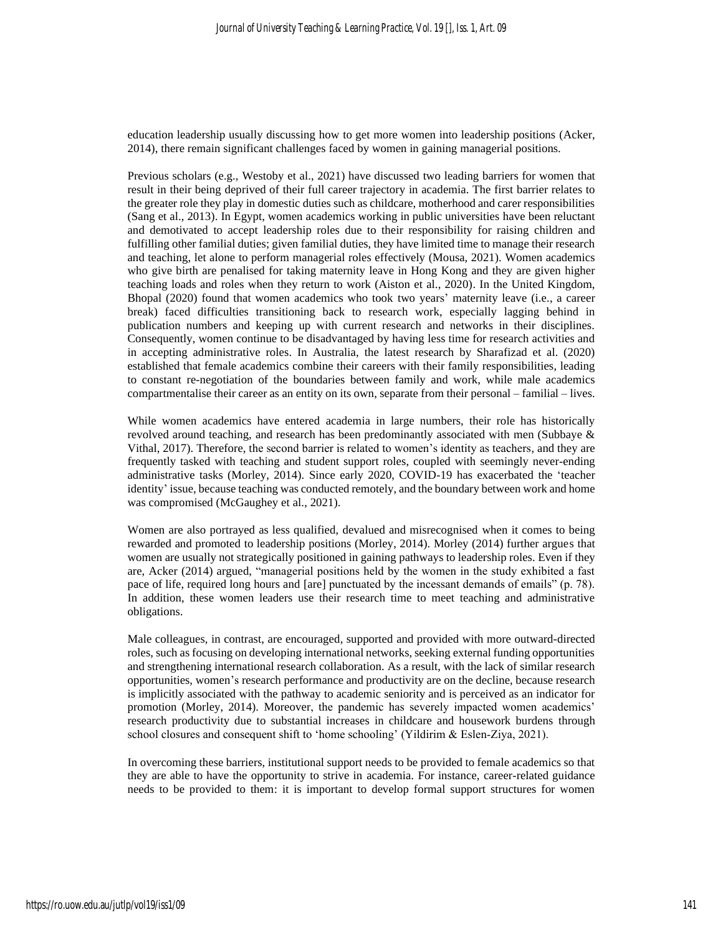education leadership usually discussing how to get more women into leadership positions (Acker, 2014), there remain significant challenges faced by women in gaining managerial positions.

Previous scholars (e.g., Westoby et al., 2021) have discussed two leading barriers for women that result in their being deprived of their full career trajectory in academia. The first barrier relates to the greater role they play in domestic duties such as childcare, motherhood and carer responsibilities (Sang et al., 2013). In Egypt, women academics working in public universities have been reluctant and demotivated to accept leadership roles due to their responsibility for raising children and fulfilling other familial duties; given familial duties, they have limited time to manage their research and teaching, let alone to perform managerial roles effectively (Mousa, 2021). Women academics who give birth are penalised for taking maternity leave in Hong Kong and they are given higher teaching loads and roles when they return to work (Aiston et al., 2020). In the United Kingdom, Bhopal (2020) found that women academics who took two years' maternity leave (i.e., a career break) faced difficulties transitioning back to research work, especially lagging behind in publication numbers and keeping up with current research and networks in their disciplines. Consequently, women continue to be disadvantaged by having less time for research activities and in accepting administrative roles. In Australia, the latest research by Sharafizad et al. (2020) established that female academics combine their careers with their family responsibilities, leading to constant re-negotiation of the boundaries between family and work, while male academics compartmentalise their career as an entity on its own, separate from their personal – familial – lives.

While women academics have entered academia in large numbers, their role has historically revolved around teaching, and research has been predominantly associated with men (Subbaye & Vithal, 2017). Therefore, the second barrier is related to women's identity as teachers, and they are frequently tasked with teaching and student support roles, coupled with seemingly never-ending administrative tasks (Morley, 2014). Since early 2020, COVID-19 has exacerbated the 'teacher identity' issue, because teaching was conducted remotely, and the boundary between work and home was compromised (McGaughey et al., 2021).

Women are also portrayed as less qualified, devalued and misrecognised when it comes to being rewarded and promoted to leadership positions (Morley, 2014). Morley (2014) further argues that women are usually not strategically positioned in gaining pathways to leadership roles. Even if they are, Acker (2014) argued, "managerial positions held by the women in the study exhibited a fast pace of life, required long hours and [are] punctuated by the incessant demands of emails" (p. 78). In addition, these women leaders use their research time to meet teaching and administrative obligations.

Male colleagues, in contrast, are encouraged, supported and provided with more outward-directed roles, such as focusing on developing international networks, seeking external funding opportunities and strengthening international research collaboration. As a result, with the lack of similar research opportunities, women's research performance and productivity are on the decline, because research is implicitly associated with the pathway to academic seniority and is perceived as an indicator for promotion (Morley, 2014). Moreover, the pandemic has severely impacted women academics' research productivity due to substantial increases in childcare and housework burdens through school closures and consequent shift to 'home schooling' (Yildirim & Eslen-Ziya, 2021).

In overcoming these barriers, institutional support needs to be provided to female academics so that they are able to have the opportunity to strive in academia. For instance, career-related guidance needs to be provided to them: it is important to develop formal support structures for women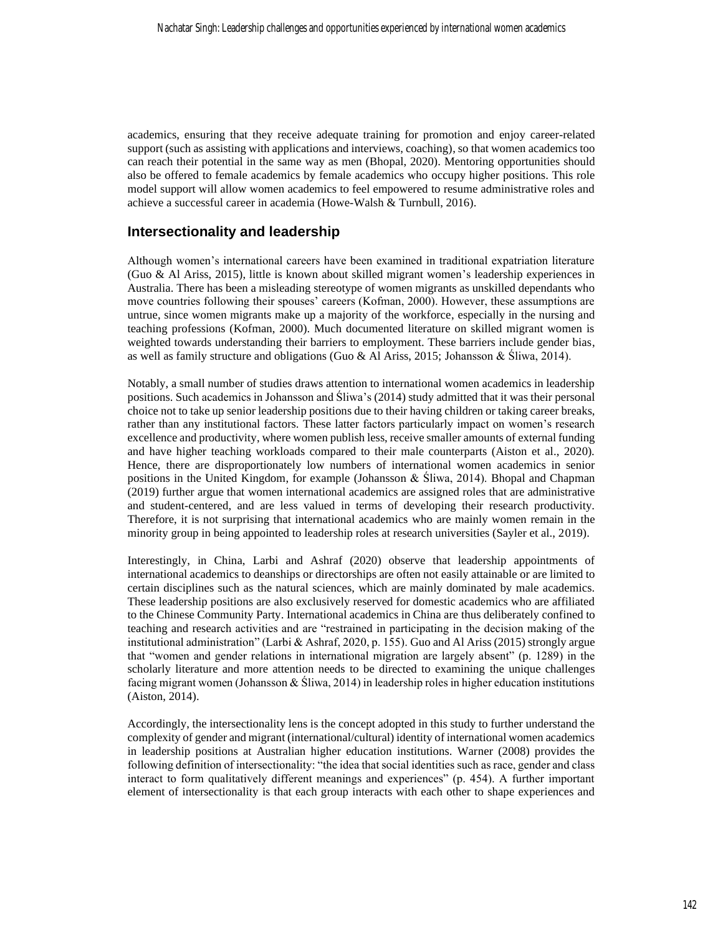academics, ensuring that they receive adequate training for promotion and enjoy career-related support (such as assisting with applications and interviews, coaching), so that women academics too can reach their potential in the same way as men (Bhopal, 2020). Mentoring opportunities should also be offered to female academics by female academics who occupy higher positions. This role model support will allow women academics to feel empowered to resume administrative roles and achieve a successful career in academia (Howe-Walsh & Turnbull, 2016).

## **Intersectionality and leadership**

Although women's international careers have been examined in traditional expatriation literature (Guo & Al Ariss, 2015), little is known about skilled migrant women's leadership experiences in Australia. There has been a misleading stereotype of women migrants as unskilled dependants who move countries following their spouses' careers (Kofman, 2000). However, these assumptions are untrue, since women migrants make up a majority of the workforce, especially in the nursing and teaching professions (Kofman, 2000). Much documented literature on skilled migrant women is weighted towards understanding their barriers to employment. These barriers include gender bias, as well as family structure and obligations (Guo & Al Ariss, 2015; Johansson & Śliwa, 2014).

Notably, a small number of studies draws attention to international women academics in leadership positions. Such academics in Johansson and Śliwa's (2014) study admitted that it was their personal choice not to take up senior leadership positions due to their having children or taking career breaks, rather than any institutional factors. These latter factors particularly impact on women's research excellence and productivity, where women publish less, receive smaller amounts of external funding and have higher teaching workloads compared to their male counterparts (Aiston et al., 2020). Hence, there are disproportionately low numbers of international women academics in senior positions in the United Kingdom, for example (Johansson & Śliwa, 2014). Bhopal and Chapman (2019) further argue that women international academics are assigned roles that are administrative and student-centered, and are less valued in terms of developing their research productivity. Therefore, it is not surprising that international academics who are mainly women remain in the minority group in being appointed to leadership roles at research universities (Sayler et al., 2019).

Interestingly, in China, Larbi and Ashraf (2020) observe that leadership appointments of international academics to deanships or directorships are often not easily attainable or are limited to certain disciplines such as the natural sciences, which are mainly dominated by male academics. These leadership positions are also exclusively reserved for domestic academics who are affiliated to the Chinese Community Party. International academics in China are thus deliberately confined to teaching and research activities and are "restrained in participating in the decision making of the institutional administration" (Larbi & Ashraf, 2020, p. 155). Guo and Al Ariss (2015) strongly argue that "women and gender relations in international migration are largely absent" (p. 1289) in the scholarly literature and more attention needs to be directed to examining the unique challenges facing migrant women (Johansson & Śliwa, 2014) in leadership roles in higher education institutions (Aiston, 2014).

Accordingly, the intersectionality lens is the concept adopted in this study to further understand the complexity of gender and migrant (international/cultural) identity of international women academics in leadership positions at Australian higher education institutions. Warner (2008) provides the following definition of intersectionality: "the idea that social identities such as race, gender and class interact to form qualitatively different meanings and experiences" (p. 454). A further important element of intersectionality is that each group interacts with each other to shape experiences and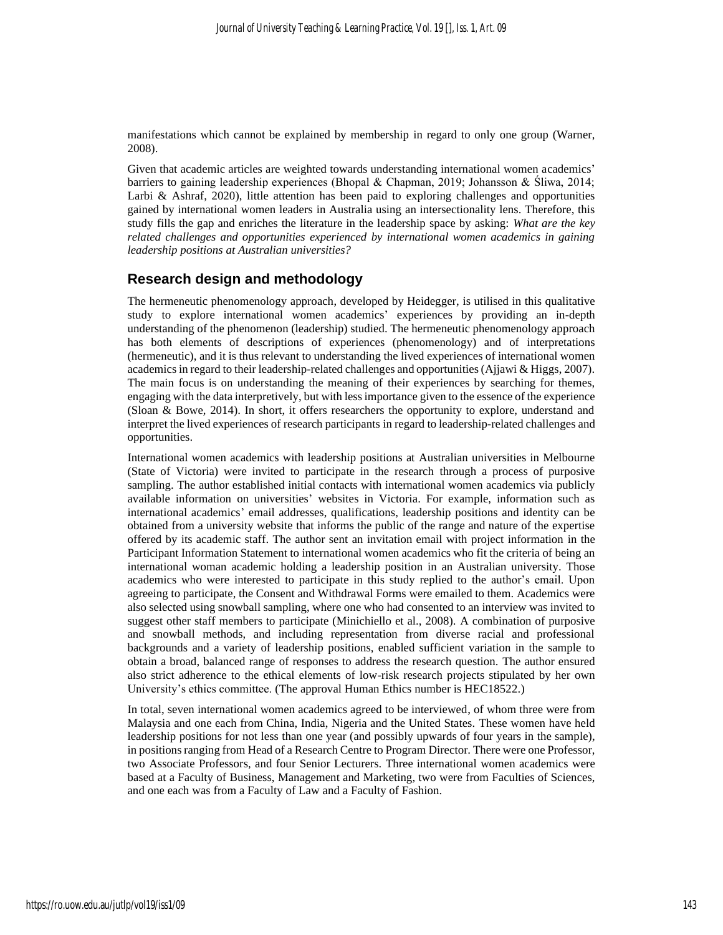manifestations which cannot be explained by membership in regard to only one group (Warner, 2008).

Given that academic articles are weighted towards understanding international women academics' barriers to gaining leadership experiences (Bhopal & Chapman, 2019; Johansson & Śliwa, 2014; Larbi & Ashraf, 2020), little attention has been paid to exploring challenges and opportunities gained by international women leaders in Australia using an intersectionality lens. Therefore, this study fills the gap and enriches the literature in the leadership space by asking: *What are the key related challenges and opportunities experienced by international women academics in gaining leadership positions at Australian universities?*

## **Research design and methodology**

The hermeneutic phenomenology approach, developed by Heidegger, is utilised in this qualitative study to explore international women academics' experiences by providing an in-depth understanding of the phenomenon (leadership) studied. The hermeneutic phenomenology approach has both elements of descriptions of experiences (phenomenology) and of interpretations (hermeneutic), and it is thus relevant to understanding the lived experiences of international women academics in regard to their leadership-related challenges and opportunities (Ajjawi & Higgs, 2007). The main focus is on understanding the meaning of their experiences by searching for themes, engaging with the data interpretively, but with less importance given to the essence of the experience (Sloan & Bowe, 2014). In short, it offers researchers the opportunity to explore, understand and interpret the lived experiences of research participants in regard to leadership-related challenges and opportunities.

International women academics with leadership positions at Australian universities in Melbourne (State of Victoria) were invited to participate in the research through a process of purposive sampling. The author established initial contacts with international women academics via publicly available information on universities' websites in Victoria. For example, information such as international academics' email addresses, qualifications, leadership positions and identity can be obtained from a university website that informs the public of the range and nature of the expertise offered by its academic staff. The author sent an invitation email with project information in the Participant Information Statement to international women academics who fit the criteria of being an international woman academic holding a leadership position in an Australian university. Those academics who were interested to participate in this study replied to the author's email. Upon agreeing to participate, the Consent and Withdrawal Forms were emailed to them. Academics were also selected using snowball sampling, where one who had consented to an interview was invited to suggest other staff members to participate (Minichiello et al., 2008). A combination of purposive and snowball methods, and including representation from diverse racial and professional backgrounds and a variety of leadership positions, enabled sufficient variation in the sample to obtain a broad, balanced range of responses to address the research question. The author ensured also strict adherence to the ethical elements of low-risk research projects stipulated by her own University's ethics committee. (The approval Human Ethics number is HEC18522.)

In total, seven international women academics agreed to be interviewed, of whom three were from Malaysia and one each from China, India, Nigeria and the United States. These women have held leadership positions for not less than one year (and possibly upwards of four years in the sample), in positions ranging from Head of a Research Centre to Program Director. There were one Professor, two Associate Professors, and four Senior Lecturers. Three international women academics were based at a Faculty of Business, Management and Marketing, two were from Faculties of Sciences, and one each was from a Faculty of Law and a Faculty of Fashion.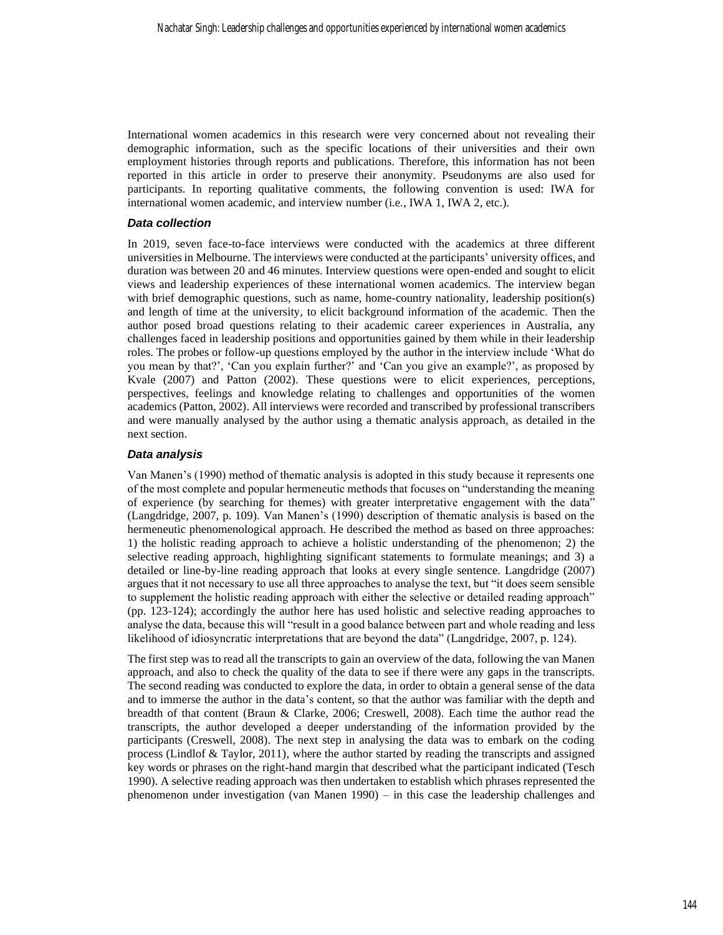International women academics in this research were very concerned about not revealing their demographic information, such as the specific locations of their universities and their own employment histories through reports and publications. Therefore, this information has not been reported in this article in order to preserve their anonymity. Pseudonyms are also used for participants. In reporting qualitative comments, the following convention is used: IWA for international women academic, and interview number (i.e., IWA 1, IWA 2, etc.).

#### *Data collection*

In 2019, seven face-to-face interviews were conducted with the academics at three different universities in Melbourne. The interviews were conducted at the participants' university offices, and duration was between 20 and 46 minutes. Interview questions were open-ended and sought to elicit views and leadership experiences of these international women academics. The interview began with brief demographic questions, such as name, home-country nationality, leadership position(s) and length of time at the university, to elicit background information of the academic. Then the author posed broad questions relating to their academic career experiences in Australia, any challenges faced in leadership positions and opportunities gained by them while in their leadership roles. The probes or follow-up questions employed by the author in the interview include 'What do you mean by that?', 'Can you explain further?' and 'Can you give an example?', as proposed by Kvale (2007) and Patton (2002). These questions were to elicit experiences, perceptions, perspectives, feelings and knowledge relating to challenges and opportunities of the women academics (Patton, 2002). All interviews were recorded and transcribed by professional transcribers and were manually analysed by the author using a thematic analysis approach, as detailed in the next section.

#### *Data analysis*

Van Manen's (1990) method of thematic analysis is adopted in this study because it represents one of the most complete and popular hermeneutic methods that focuses on "understanding the meaning of experience (by searching for themes) with greater interpretative engagement with the data" (Langdridge, 2007, p. 109). Van Manen's (1990) description of thematic analysis is based on the hermeneutic phenomenological approach. He described the method as based on three approaches: 1) the holistic reading approach to achieve a holistic understanding of the phenomenon; 2) the selective reading approach, highlighting significant statements to formulate meanings; and 3) a detailed or line-by-line reading approach that looks at every single sentence. Langdridge (2007) argues that it not necessary to use all three approaches to analyse the text, but "it does seem sensible to supplement the holistic reading approach with either the selective or detailed reading approach" (pp. 123-124); accordingly the author here has used holistic and selective reading approaches to analyse the data, because this will "result in a good balance between part and whole reading and less likelihood of idiosyncratic interpretations that are beyond the data" (Langdridge, 2007, p. 124).

The first step was to read all the transcripts to gain an overview of the data, following the van Manen approach, and also to check the quality of the data to see if there were any gaps in the transcripts. The second reading was conducted to explore the data, in order to obtain a general sense of the data and to immerse the author in the data's content, so that the author was familiar with the depth and breadth of that content (Braun & Clarke, 2006; Creswell, 2008). Each time the author read the transcripts, the author developed a deeper understanding of the information provided by the participants (Creswell, 2008). The next step in analysing the data was to embark on the coding process (Lindlof & Taylor, 2011), where the author started by reading the transcripts and assigned key words or phrases on the right-hand margin that described what the participant indicated (Tesch 1990). A selective reading approach was then undertaken to establish which phrases represented the phenomenon under investigation (van Manen 1990) – in this case the leadership challenges and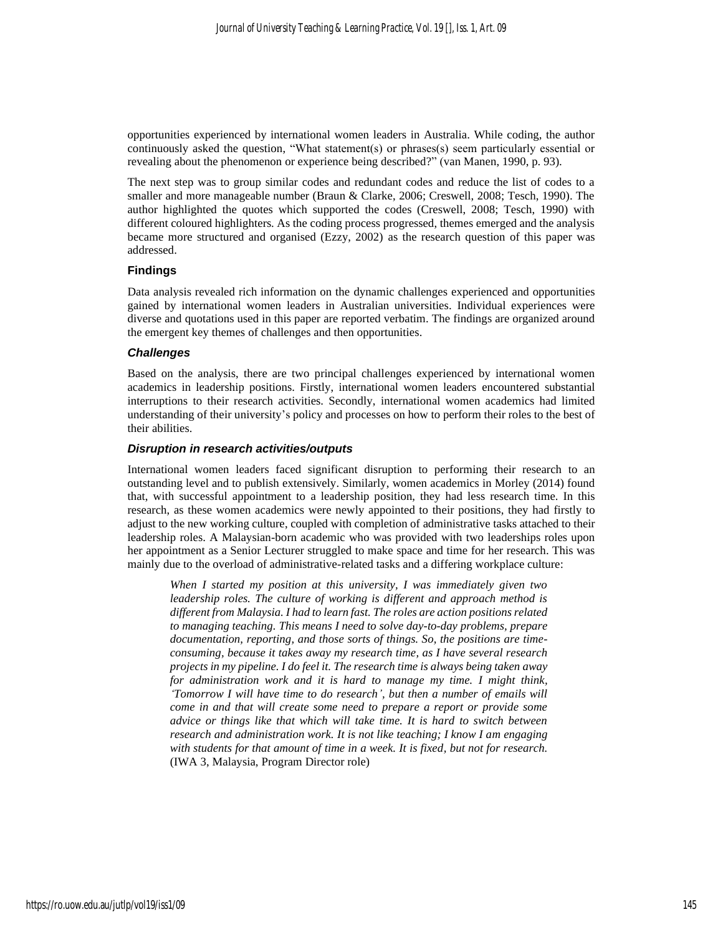opportunities experienced by international women leaders in Australia. While coding, the author continuously asked the question, "What statement(s) or phrases(s) seem particularly essential or revealing about the phenomenon or experience being described?" (van Manen, 1990, p. 93).

The next step was to group similar codes and redundant codes and reduce the list of codes to a smaller and more manageable number (Braun & Clarke, 2006; Creswell, 2008; Tesch, 1990). The author highlighted the quotes which supported the codes (Creswell, 2008; Tesch, 1990) with different coloured highlighters. As the coding process progressed, themes emerged and the analysis became more structured and organised (Ezzy, 2002) as the research question of this paper was addressed.

#### **Findings**

Data analysis revealed rich information on the dynamic challenges experienced and opportunities gained by international women leaders in Australian universities. Individual experiences were diverse and quotations used in this paper are reported verbatim. The findings are organized around the emergent key themes of challenges and then opportunities.

#### *Challenges*

Based on the analysis, there are two principal challenges experienced by international women academics in leadership positions. Firstly, international women leaders encountered substantial interruptions to their research activities. Secondly, international women academics had limited understanding of their university's policy and processes on how to perform their roles to the best of their abilities.

#### *Disruption in research activities/outputs*

International women leaders faced significant disruption to performing their research to an outstanding level and to publish extensively. Similarly, women academics in Morley (2014) found that, with successful appointment to a leadership position, they had less research time. In this research, as these women academics were newly appointed to their positions, they had firstly to adjust to the new working culture, coupled with completion of administrative tasks attached to their leadership roles. A Malaysian-born academic who was provided with two leaderships roles upon her appointment as a Senior Lecturer struggled to make space and time for her research. This was mainly due to the overload of administrative-related tasks and a differing workplace culture:

*When I started my position at this university, I was immediately given two leadership roles. The culture of working is different and approach method is different from Malaysia. I had to learn fast. The roles are action positions related to managing teaching. This means I need to solve day-to-day problems, prepare documentation, reporting, and those sorts of things. So, the positions are timeconsuming, because it takes away my research time, as I have several research projects in my pipeline. I do feel it. The research time is always being taken away for administration work and it is hard to manage my time. I might think, 'Tomorrow I will have time to do research', but then a number of emails will come in and that will create some need to prepare a report or provide some advice or things like that which will take time. It is hard to switch between research and administration work. It is not like teaching; I know I am engaging with students for that amount of time in a week. It is fixed, but not for research.* (IWA 3, Malaysia, Program Director role)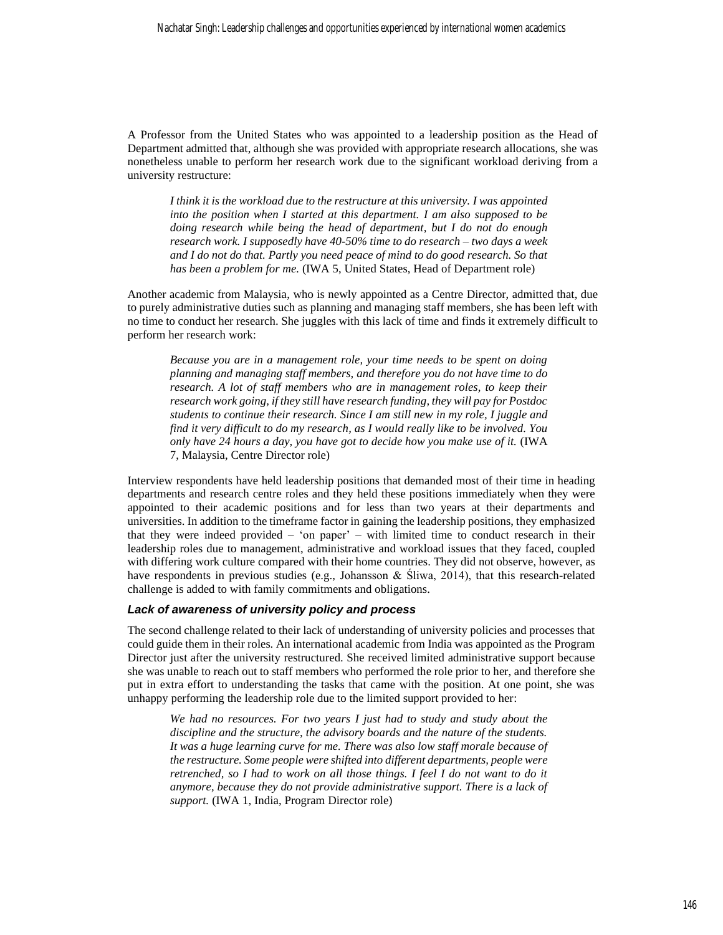A Professor from the United States who was appointed to a leadership position as the Head of Department admitted that, although she was provided with appropriate research allocations, she was nonetheless unable to perform her research work due to the significant workload deriving from a university restructure:

*I think it is the workload due to the restructure at this university. I was appointed into the position when I started at this department. I am also supposed to be doing research while being the head of department, but I do not do enough research work. I supposedly have 40-50% time to do research – two days a week and I do not do that. Partly you need peace of mind to do good research. So that has been a problem for me.* (IWA 5, United States, Head of Department role)

Another academic from Malaysia, who is newly appointed as a Centre Director, admitted that, due to purely administrative duties such as planning and managing staff members, she has been left with no time to conduct her research. She juggles with this lack of time and finds it extremely difficult to perform her research work:

*Because you are in a management role, your time needs to be spent on doing planning and managing staff members, and therefore you do not have time to do research. A lot of staff members who are in management roles, to keep their research work going, if they still have research funding, they will pay for Postdoc students to continue their research. Since I am still new in my role, I juggle and find it very difficult to do my research, as I would really like to be involved. You only have 24 hours a day, you have got to decide how you make use of it.* (IWA 7, Malaysia, Centre Director role)

Interview respondents have held leadership positions that demanded most of their time in heading departments and research centre roles and they held these positions immediately when they were appointed to their academic positions and for less than two years at their departments and universities. In addition to the timeframe factor in gaining the leadership positions, they emphasized that they were indeed provided – 'on paper' – with limited time to conduct research in their leadership roles due to management, administrative and workload issues that they faced, coupled with differing work culture compared with their home countries. They did not observe, however, as have respondents in previous studies (e.g., Johansson & Śliwa, 2014), that this research-related challenge is added to with family commitments and obligations.

#### *Lack of awareness of university policy and process*

The second challenge related to their lack of understanding of university policies and processes that could guide them in their roles. An international academic from India was appointed as the Program Director just after the university restructured. She received limited administrative support because she was unable to reach out to staff members who performed the role prior to her, and therefore she put in extra effort to understanding the tasks that came with the position. At one point, she was unhappy performing the leadership role due to the limited support provided to her:

*We had no resources. For two years I just had to study and study about the discipline and the structure, the advisory boards and the nature of the students. It was a huge learning curve for me. There was also low staff morale because of the restructure. Some people were shifted into different departments, people were retrenched, so I had to work on all those things. I feel I do not want to do it anymore, because they do not provide administrative support. There is a lack of support.* (IWA 1, India, Program Director role)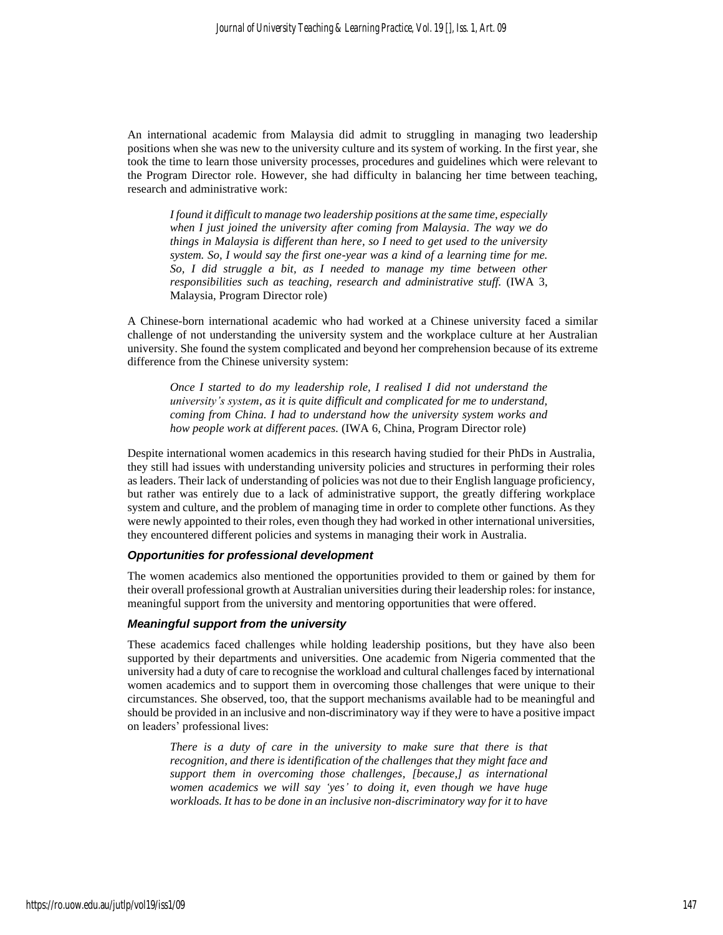An international academic from Malaysia did admit to struggling in managing two leadership positions when she was new to the university culture and its system of working. In the first year, she took the time to learn those university processes, procedures and guidelines which were relevant to the Program Director role. However, she had difficulty in balancing her time between teaching, research and administrative work:

*I found it difficult to manage two leadership positions at the same time, especially when I just joined the university after coming from Malaysia. The way we do things in Malaysia is different than here, so I need to get used to the university system. So, I would say the first one-year was a kind of a learning time for me. So, I did struggle a bit, as I needed to manage my time between other responsibilities such as teaching, research and administrative stuff.* (IWA 3, Malaysia, Program Director role)

A Chinese-born international academic who had worked at a Chinese university faced a similar challenge of not understanding the university system and the workplace culture at her Australian university. She found the system complicated and beyond her comprehension because of its extreme difference from the Chinese university system:

*Once I started to do my leadership role, I realised I did not understand the university's system, as it is quite difficult and complicated for me to understand, coming from China. I had to understand how the university system works and how people work at different paces.* (IWA 6, China, Program Director role)

Despite international women academics in this research having studied for their PhDs in Australia, they still had issues with understanding university policies and structures in performing their roles as leaders. Their lack of understanding of policies was not due to their English language proficiency, but rather was entirely due to a lack of administrative support, the greatly differing workplace system and culture, and the problem of managing time in order to complete other functions. As they were newly appointed to their roles, even though they had worked in other international universities, they encountered different policies and systems in managing their work in Australia.

#### *Opportunities for professional development*

The women academics also mentioned the opportunities provided to them or gained by them for their overall professional growth at Australian universities during their leadership roles: for instance, meaningful support from the university and mentoring opportunities that were offered.

#### *Meaningful support from the university*

These academics faced challenges while holding leadership positions, but they have also been supported by their departments and universities. One academic from Nigeria commented that the university had a duty of care to recognise the workload and cultural challenges faced by international women academics and to support them in overcoming those challenges that were unique to their circumstances. She observed, too, that the support mechanisms available had to be meaningful and should be provided in an inclusive and non-discriminatory way if they were to have a positive impact on leaders' professional lives:

*There is a duty of care in the university to make sure that there is that recognition, and there is identification of the challenges that they might face and support them in overcoming those challenges, [because,] as international women academics we will say 'yes' to doing it, even though we have huge workloads. It has to be done in an inclusive non-discriminatory way for it to have*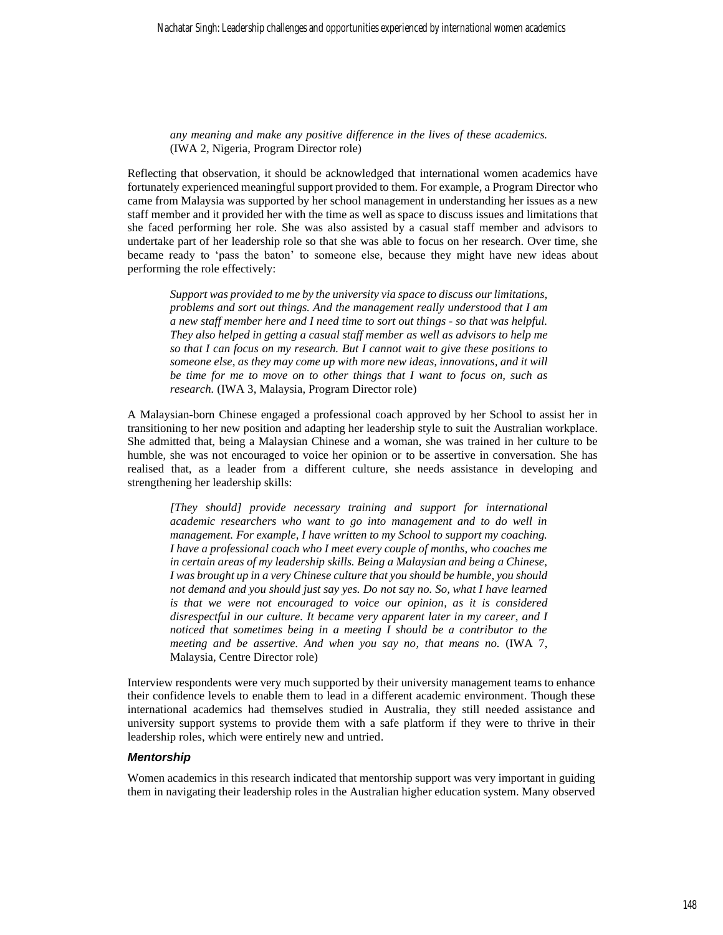*any meaning and make any positive difference in the lives of these academics.*  (IWA 2, Nigeria, Program Director role)

Reflecting that observation, it should be acknowledged that international women academics have fortunately experienced meaningful support provided to them. For example, a Program Director who came from Malaysia was supported by her school management in understanding her issues as a new staff member and it provided her with the time as well as space to discuss issues and limitations that she faced performing her role. She was also assisted by a casual staff member and advisors to undertake part of her leadership role so that she was able to focus on her research. Over time, she became ready to 'pass the baton' to someone else, because they might have new ideas about performing the role effectively:

*Support was provided to me by the university via space to discuss our limitations, problems and sort out things. And the management really understood that I am a new staff member here and I need time to sort out things - so that was helpful. They also helped in getting a casual staff member as well as advisors to help me so that I can focus on my research. But I cannot wait to give these positions to someone else, as they may come up with more new ideas, innovations, and it will be time for me to move on to other things that I want to focus on, such as research.* (IWA 3, Malaysia, Program Director role)

A Malaysian-born Chinese engaged a professional coach approved by her School to assist her in transitioning to her new position and adapting her leadership style to suit the Australian workplace. She admitted that, being a Malaysian Chinese and a woman, she was trained in her culture to be humble, she was not encouraged to voice her opinion or to be assertive in conversation. She has realised that, as a leader from a different culture, she needs assistance in developing and strengthening her leadership skills:

*[They should] provide necessary training and support for international academic researchers who want to go into management and to do well in management. For example, I have written to my School to support my coaching. I have a professional coach who I meet every couple of months, who coaches me in certain areas of my leadership skills. Being a Malaysian and being a Chinese, I was brought up in a very Chinese culture that you should be humble, you should not demand and you should just say yes. Do not say no. So, what I have learned is that we were not encouraged to voice our opinion, as it is considered disrespectful in our culture. It became very apparent later in my career, and I noticed that sometimes being in a meeting I should be a contributor to the meeting and be assertive. And when you say no, that means no.* (IWA 7, Malaysia, Centre Director role)

Interview respondents were very much supported by their university management teams to enhance their confidence levels to enable them to lead in a different academic environment. Though these international academics had themselves studied in Australia, they still needed assistance and university support systems to provide them with a safe platform if they were to thrive in their leadership roles, which were entirely new and untried.

#### *Mentorship*

Women academics in this research indicated that mentorship support was very important in guiding them in navigating their leadership roles in the Australian higher education system. Many observed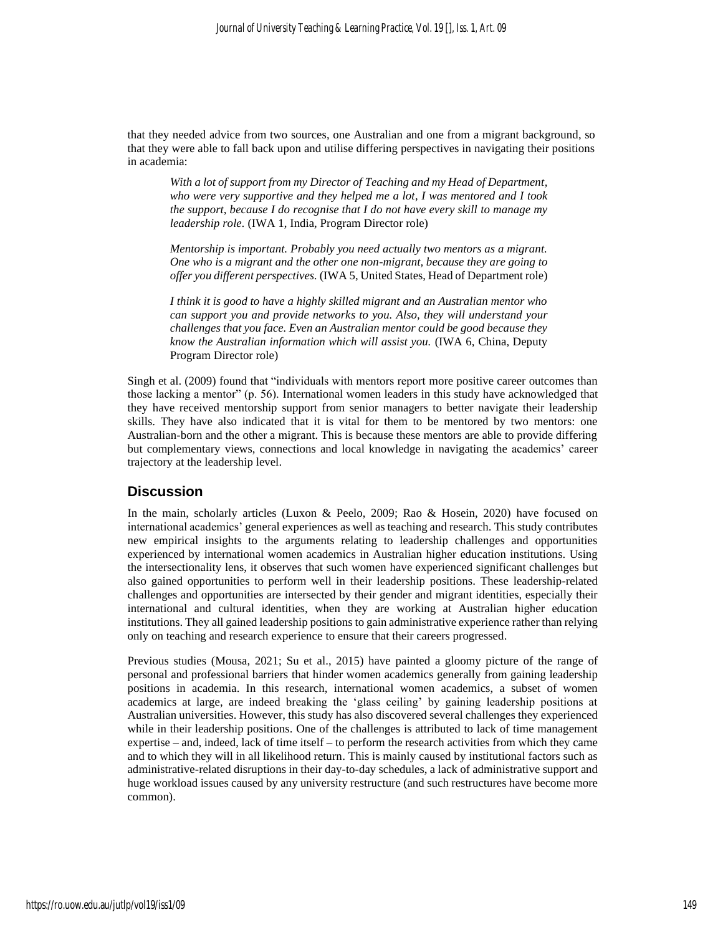that they needed advice from two sources, one Australian and one from a migrant background, so that they were able to fall back upon and utilise differing perspectives in navigating their positions in academia:

*With a lot of support from my Director of Teaching and my Head of Department, who were very supportive and they helped me a lot, I was mentored and I took the support, because I do recognise that I do not have every skill to manage my leadership role.* (IWA 1, India, Program Director role)

*Mentorship is important. Probably you need actually two mentors as a migrant. One who is a migrant and the other one non-migrant, because they are going to offer you different perspectives.* (IWA 5, United States, Head of Department role)

*I think it is good to have a highly skilled migrant and an Australian mentor who can support you and provide networks to you. Also, they will understand your challenges that you face. Even an Australian mentor could be good because they know the Australian information which will assist you.* (IWA 6, China, Deputy Program Director role)

Singh et al. (2009) found that "individuals with mentors report more positive career outcomes than those lacking a mentor" (p. 56). International women leaders in this study have acknowledged that they have received mentorship support from senior managers to better navigate their leadership skills. They have also indicated that it is vital for them to be mentored by two mentors: one Australian-born and the other a migrant. This is because these mentors are able to provide differing but complementary views, connections and local knowledge in navigating the academics' career trajectory at the leadership level.

## **Discussion**

In the main, scholarly articles (Luxon & Peelo, 2009; Rao & Hosein, 2020) have focused on international academics' general experiences as well as teaching and research. This study contributes new empirical insights to the arguments relating to leadership challenges and opportunities experienced by international women academics in Australian higher education institutions. Using the intersectionality lens, it observes that such women have experienced significant challenges but also gained opportunities to perform well in their leadership positions. These leadership-related challenges and opportunities are intersected by their gender and migrant identities, especially their international and cultural identities, when they are working at Australian higher education institutions. They all gained leadership positions to gain administrative experience rather than relying only on teaching and research experience to ensure that their careers progressed.

Previous studies (Mousa, 2021; Su et al., 2015) have painted a gloomy picture of the range of personal and professional barriers that hinder women academics generally from gaining leadership positions in academia. In this research, international women academics, a subset of women academics at large, are indeed breaking the 'glass ceiling' by gaining leadership positions at Australian universities. However, this study has also discovered several challenges they experienced while in their leadership positions. One of the challenges is attributed to lack of time management expertise – and, indeed, lack of time itself – to perform the research activities from which they came and to which they will in all likelihood return. This is mainly caused by institutional factors such as administrative-related disruptions in their day-to-day schedules, a lack of administrative support and huge workload issues caused by any university restructure (and such restructures have become more common).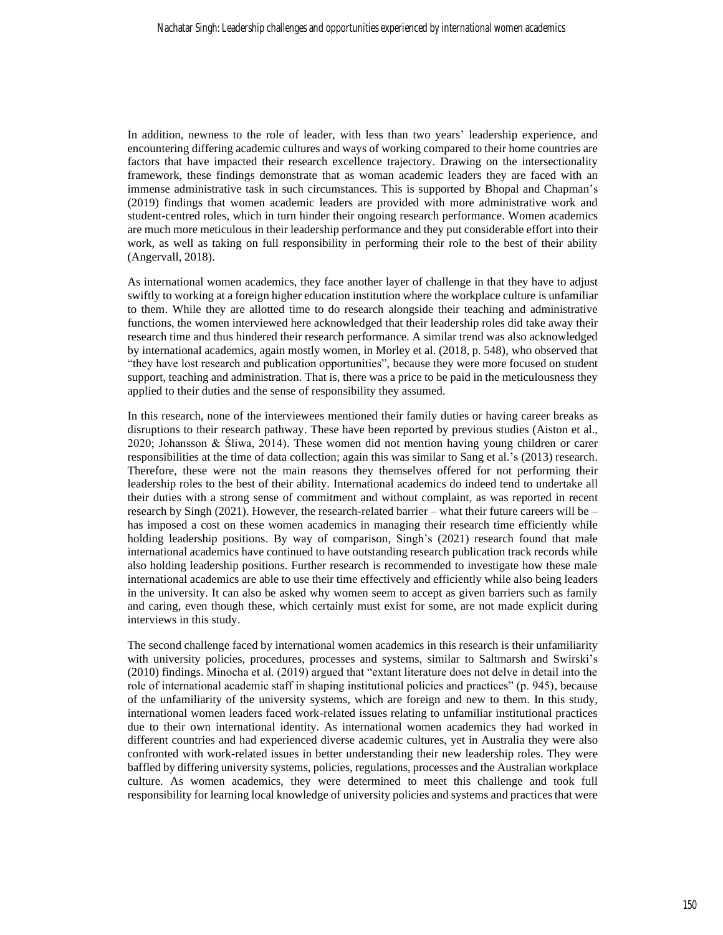In addition, newness to the role of leader, with less than two years' leadership experience, and encountering differing academic cultures and ways of working compared to their home countries are factors that have impacted their research excellence trajectory. Drawing on the intersectionality framework, these findings demonstrate that as woman academic leaders they are faced with an immense administrative task in such circumstances. This is supported by Bhopal and Chapman's (2019) findings that women academic leaders are provided with more administrative work and student-centred roles, which in turn hinder their ongoing research performance. Women academics are much more meticulous in their leadership performance and they put considerable effort into their work, as well as taking on full responsibility in performing their role to the best of their ability (Angervall, 2018).

As international women academics, they face another layer of challenge in that they have to adjust swiftly to working at a foreign higher education institution where the workplace culture is unfamiliar to them. While they are allotted time to do research alongside their teaching and administrative functions, the women interviewed here acknowledged that their leadership roles did take away their research time and thus hindered their research performance. A similar trend was also acknowledged by international academics, again mostly women, in Morley et al. (2018, p. 548), who observed that "they have lost research and publication opportunities", because they were more focused on student support, teaching and administration. That is, there was a price to be paid in the meticulousness they applied to their duties and the sense of responsibility they assumed.

In this research, none of the interviewees mentioned their family duties or having career breaks as disruptions to their research pathway. These have been reported by previous studies (Aiston et al., 2020; Johansson & Śliwa, 2014). These women did not mention having young children or carer responsibilities at the time of data collection; again this was similar to Sang et al.'s (2013) research. Therefore, these were not the main reasons they themselves offered for not performing their leadership roles to the best of their ability. International academics do indeed tend to undertake all their duties with a strong sense of commitment and without complaint, as was reported in recent research by Singh (2021). However, the research-related barrier – what their future careers will be – has imposed a cost on these women academics in managing their research time efficiently while holding leadership positions. By way of comparison, Singh's (2021) research found that male international academics have continued to have outstanding research publication track records while also holding leadership positions. Further research is recommended to investigate how these male international academics are able to use their time effectively and efficiently while also being leaders in the university. It can also be asked why women seem to accept as given barriers such as family and caring, even though these, which certainly must exist for some, are not made explicit during interviews in this study.

The second challenge faced by international women academics in this research is their unfamiliarity with university policies, procedures, processes and systems, similar to Saltmarsh and Swirski's (2010) findings. Minocha et al. (2019) argued that "extant literature does not delve in detail into the role of international academic staff in shaping institutional policies and practices" (p. 945), because of the unfamiliarity of the university systems, which are foreign and new to them. In this study, international women leaders faced work-related issues relating to unfamiliar institutional practices due to their own international identity. As international women academics they had worked in different countries and had experienced diverse academic cultures, yet in Australia they were also confronted with work-related issues in better understanding their new leadership roles. They were baffled by differing university systems, policies, regulations, processes and the Australian workplace culture. As women academics, they were determined to meet this challenge and took full responsibility for learning local knowledge of university policies and systems and practices that were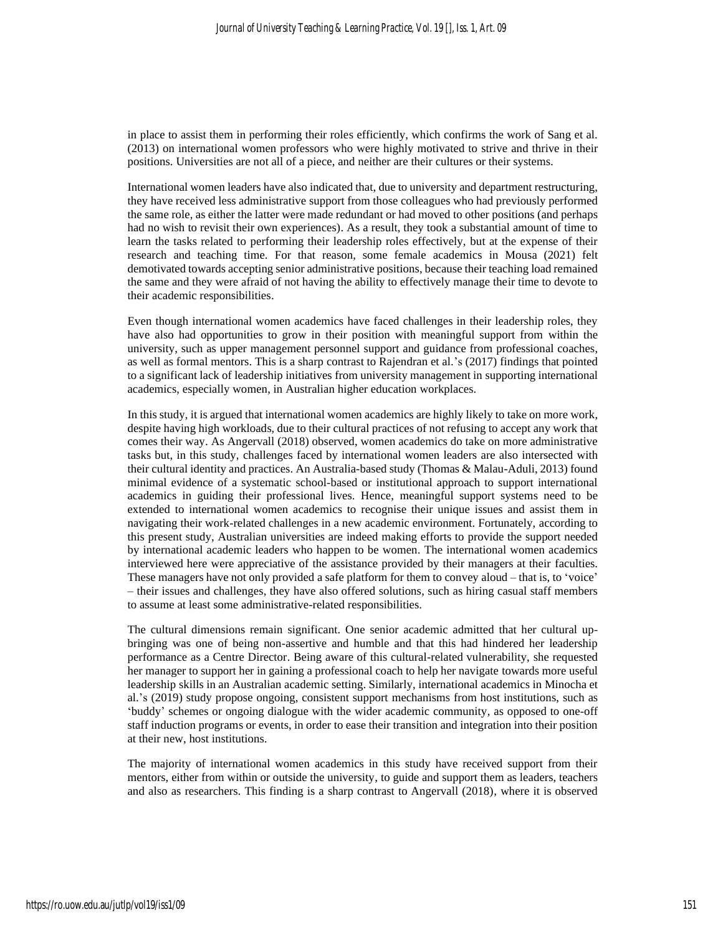in place to assist them in performing their roles efficiently, which confirms the work of Sang et al. (2013) on international women professors who were highly motivated to strive and thrive in their positions. Universities are not all of a piece, and neither are their cultures or their systems.

International women leaders have also indicated that, due to university and department restructuring, they have received less administrative support from those colleagues who had previously performed the same role, as either the latter were made redundant or had moved to other positions (and perhaps had no wish to revisit their own experiences). As a result, they took a substantial amount of time to learn the tasks related to performing their leadership roles effectively, but at the expense of their research and teaching time. For that reason, some female academics in Mousa (2021) felt demotivated towards accepting senior administrative positions, because their teaching load remained the same and they were afraid of not having the ability to effectively manage their time to devote to their academic responsibilities.

Even though international women academics have faced challenges in their leadership roles, they have also had opportunities to grow in their position with meaningful support from within the university, such as upper management personnel support and guidance from professional coaches, as well as formal mentors. This is a sharp contrast to Rajendran et al.'s (2017) findings that pointed to a significant lack of leadership initiatives from university management in supporting international academics, especially women, in Australian higher education workplaces.

In this study, it is argued that international women academics are highly likely to take on more work, despite having high workloads, due to their cultural practices of not refusing to accept any work that comes their way. As Angervall (2018) observed, women academics do take on more administrative tasks but, in this study, challenges faced by international women leaders are also intersected with their cultural identity and practices. An Australia-based study (Thomas & Malau-Aduli, 2013) found minimal evidence of a systematic school-based or institutional approach to support international academics in guiding their professional lives. Hence, meaningful support systems need to be extended to international women academics to recognise their unique issues and assist them in navigating their work-related challenges in a new academic environment. Fortunately, according to this present study, Australian universities are indeed making efforts to provide the support needed by international academic leaders who happen to be women. The international women academics interviewed here were appreciative of the assistance provided by their managers at their faculties. These managers have not only provided a safe platform for them to convey aloud – that is, to 'voice' – their issues and challenges, they have also offered solutions, such as hiring casual staff members to assume at least some administrative-related responsibilities.

The cultural dimensions remain significant. One senior academic admitted that her cultural upbringing was one of being non-assertive and humble and that this had hindered her leadership performance as a Centre Director. Being aware of this cultural-related vulnerability, she requested her manager to support her in gaining a professional coach to help her navigate towards more useful leadership skills in an Australian academic setting. Similarly, international academics in Minocha et al.'s (2019) study propose ongoing, consistent support mechanisms from host institutions, such as 'buddy' schemes or ongoing dialogue with the wider academic community, as opposed to one-off staff induction programs or events, in order to ease their transition and integration into their position at their new, host institutions.

The majority of international women academics in this study have received support from their mentors, either from within or outside the university, to guide and support them as leaders, teachers and also as researchers. This finding is a sharp contrast to Angervall (2018), where it is observed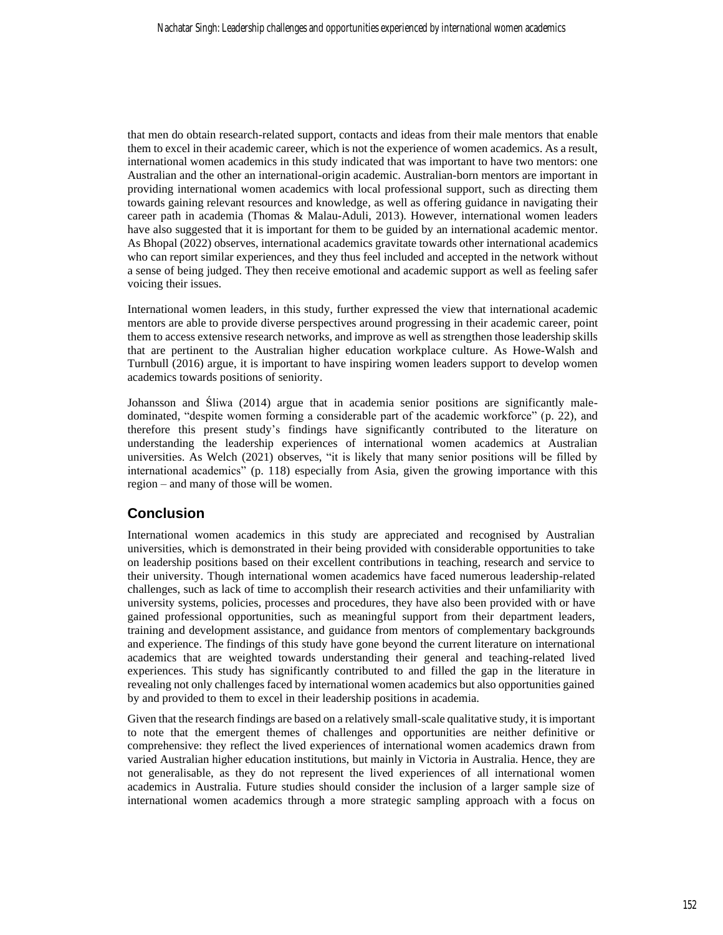that men do obtain research-related support, contacts and ideas from their male mentors that enable them to excel in their academic career, which is not the experience of women academics. As a result, international women academics in this study indicated that was important to have two mentors: one Australian and the other an international-origin academic. Australian-born mentors are important in providing international women academics with local professional support, such as directing them towards gaining relevant resources and knowledge, as well as offering guidance in navigating their career path in academia (Thomas & Malau-Aduli, 2013). However, international women leaders have also suggested that it is important for them to be guided by an international academic mentor. As Bhopal (2022) observes, international academics gravitate towards other international academics who can report similar experiences, and they thus feel included and accepted in the network without a sense of being judged. They then receive emotional and academic support as well as feeling safer voicing their issues.

International women leaders, in this study, further expressed the view that international academic mentors are able to provide diverse perspectives around progressing in their academic career, point them to access extensive research networks, and improve as well as strengthen those leadership skills that are pertinent to the Australian higher education workplace culture. As Howe-Walsh and Turnbull (2016) argue, it is important to have inspiring women leaders support to develop women academics towards positions of seniority.

Johansson and Śliwa (2014) argue that in academia senior positions are significantly maledominated, "despite women forming a considerable part of the academic workforce" (p. 22), and therefore this present study's findings have significantly contributed to the literature on understanding the leadership experiences of international women academics at Australian universities. As Welch (2021) observes, "it is likely that many senior positions will be filled by international academics" (p. 118) especially from Asia, given the growing importance with this region – and many of those will be women.

# **Conclusion**

International women academics in this study are appreciated and recognised by Australian universities, which is demonstrated in their being provided with considerable opportunities to take on leadership positions based on their excellent contributions in teaching, research and service to their university. Though international women academics have faced numerous leadership-related challenges, such as lack of time to accomplish their research activities and their unfamiliarity with university systems, policies, processes and procedures, they have also been provided with or have gained professional opportunities, such as meaningful support from their department leaders, training and development assistance, and guidance from mentors of complementary backgrounds and experience. The findings of this study have gone beyond the current literature on international academics that are weighted towards understanding their general and teaching-related lived experiences. This study has significantly contributed to and filled the gap in the literature in revealing not only challenges faced by international women academics but also opportunities gained by and provided to them to excel in their leadership positions in academia.

Given that the research findings are based on a relatively small-scale qualitative study, it is important to note that the emergent themes of challenges and opportunities are neither definitive or comprehensive: they reflect the lived experiences of international women academics drawn from varied Australian higher education institutions, but mainly in Victoria in Australia. Hence, they are not generalisable, as they do not represent the lived experiences of all international women academics in Australia. Future studies should consider the inclusion of a larger sample size of international women academics through a more strategic sampling approach with a focus on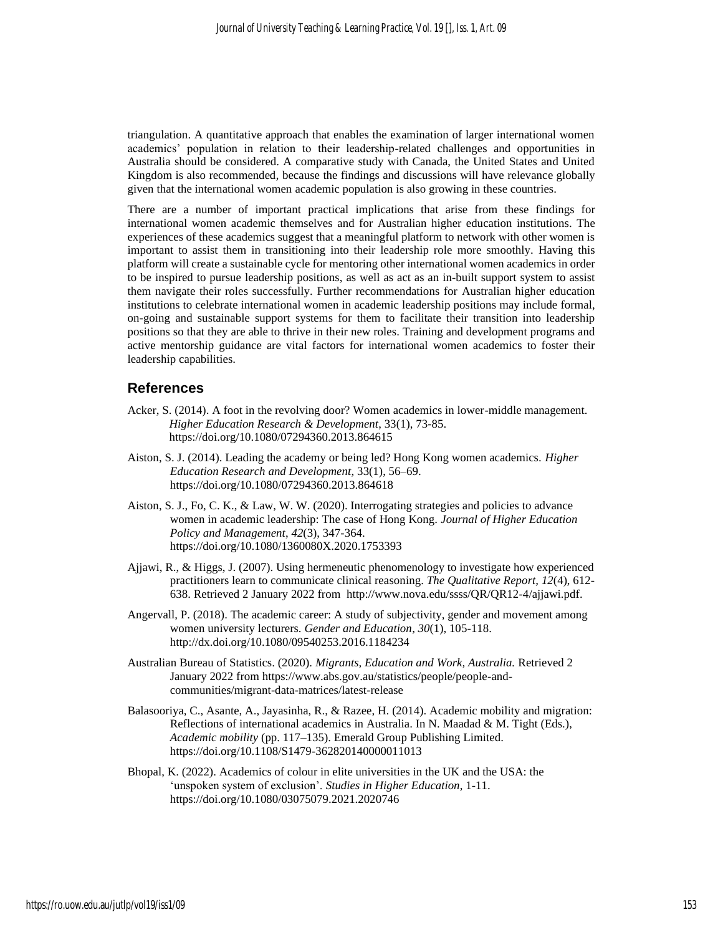triangulation. A quantitative approach that enables the examination of larger international women academics' population in relation to their leadership-related challenges and opportunities in Australia should be considered. A comparative study with Canada, the United States and United Kingdom is also recommended, because the findings and discussions will have relevance globally given that the international women academic population is also growing in these countries.

There are a number of important practical implications that arise from these findings for international women academic themselves and for Australian higher education institutions. The experiences of these academics suggest that a meaningful platform to network with other women is important to assist them in transitioning into their leadership role more smoothly. Having this platform will create a sustainable cycle for mentoring other international women academics in order to be inspired to pursue leadership positions, as well as act as an in-built support system to assist them navigate their roles successfully. Further recommendations for Australian higher education institutions to celebrate international women in academic leadership positions may include formal, on-going and sustainable support systems for them to facilitate their transition into leadership positions so that they are able to thrive in their new roles. Training and development programs and active mentorship guidance are vital factors for international women academics to foster their leadership capabilities.

## **References**

- Acker, S. (2014). A foot in the revolving door? Women academics in lower-middle management. *Higher Education Research & Development*, 33(1), 73-85. [https://doi.org/10.1080/07294360.2013.864615](about:blank)
- Aiston, S. J. (2014). Leading the academy or being led? Hong Kong women academics. *Higher Education Research and Development*, 33(1), 56–69. [https://doi.org/10.1080/07294360.2013.864618](about:blank)
- Aiston, S. J., Fo, C. K., & Law, W. W. (2020). Interrogating strategies and policies to advance women in academic leadership: The case of Hong Kong. *Journal of Higher Education Policy and Management*, *42*(3), 347-364. [https://doi.org/10.1080/1360080X.2020.1753393](about:blank)
- Ajjawi, R., & Higgs, J. (2007). Using hermeneutic phenomenology to investigate how experienced practitioners learn to communicate clinical reasoning. *The Qualitative Report, 12*(4), 612- 638. Retrieved 2 January 2022 from [http://www.nova.edu/ssss/QR/QR12-4/ajjawi.pdf.](about:blank)
- Angervall, P. (2018). The academic career: A study of subjectivity, gender and movement among women university lecturers. *Gender and Education*, *30*(1), 105-118. [http://dx.doi.org/10.1080/09540253.2016.1184234](about:blank)
- Australian Bureau of Statistics. (2020). *Migrants, Education and Work, Australia.* Retrieved 2 January 2022 from https://www.abs.gov.au/statistics/people/people-andcommunities/migrant-data-matrices/latest-release
- Balasooriya, C., Asante, A., Jayasinha, R., & Razee, H. (2014). Academic mobility and migration: Reflections of international academics in Australia. In N. Maadad & M. Tight (Eds.), *Academic mobility* (pp. 117–135). Emerald Group Publishing Limited. https://doi.org/10.1108/S1479-362820140000011013
- Bhopal, K. (2022). Academics of colour in elite universities in the UK and the USA: the 'unspoken system of exclusion'. *Studies in Higher Education*, 1-11. [https://doi.org/10.1080/03075079.2021.2020746](about:blank)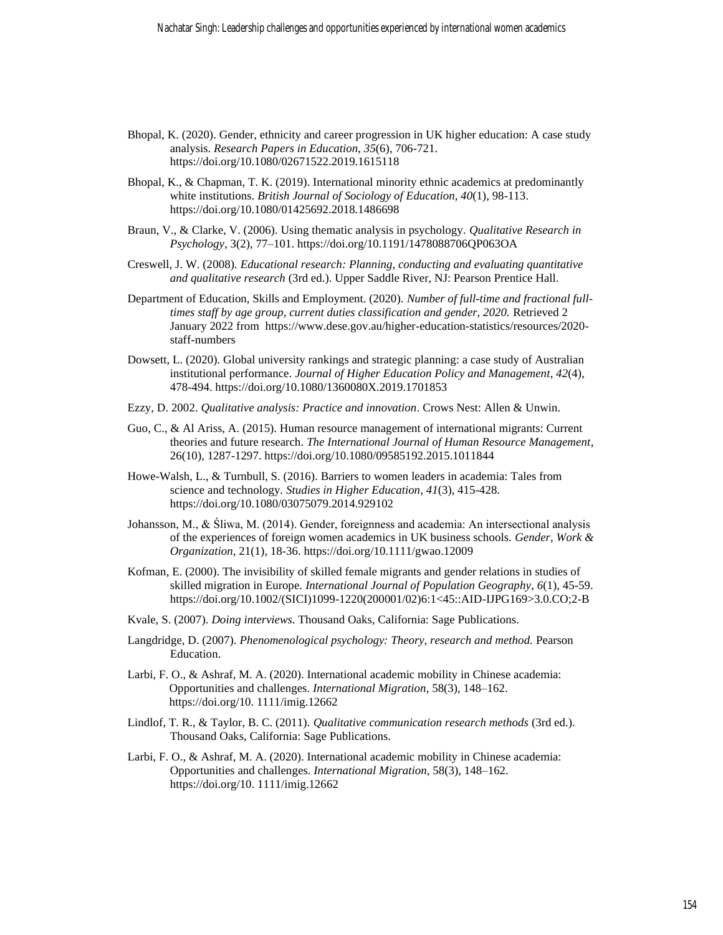- Bhopal, K. (2020). Gender, ethnicity and career progression in UK higher education: A case study analysis. *Research Papers in Education*, *35*(6), 706-721. [https://doi.org/10.1080/02671522.2019.1615118](about:blank)
- Bhopal, K., & Chapman, T. K. (2019). International minority ethnic academics at predominantly white institutions. *British Journal of Sociology of Education*, *40*(1), 98-113. [https://doi.org/10.1080/01425692.2018.1486698](about:blank)
- Braun, V., & Clarke, V. (2006). Using thematic analysis in psychology. *Qualitative Research in Psychology*, 3(2), 77–101. [https://doi.org/10.1191/1478088706QP063OA](about:blank)
- Creswell, J. W. (2008). *Educational research: Planning, conducting and evaluating quantitative and qualitative research* (3rd ed.). Upper Saddle River, NJ: Pearson Prentice Hall.
- Department of Education, Skills and Employment. (2020). *Number of full-time and fractional fulltimes staff by age group, current duties classification and gender, 2020.* Retrieved 2 January 2022 from [https://www.dese.gov.au/higher-education-statistics/resources/2020](about:blank) [staff-numbers](about:blank)
- Dowsett, L. (2020). Global university rankings and strategic planning: a case study of Australian institutional performance. *Journal of Higher Education Policy and Management*, *42*(4), 478-494. [https://doi.org/10.1080/1360080X.2019.1701853](about:blank)
- Ezzy, D. 2002. *Qualitative analysis: Practice and innovation*. Crows Nest: Allen & Unwin.
- Guo, C., & Al Ariss, A. (2015). Human resource management of international migrants: Current theories and future research. *The International Journal of Human Resource Management*, 26(10), 1287-1297. [https://doi.org/10.1080/09585192.2015.1011844](about:blank)
- Howe-Walsh, L., & Turnbull, S. (2016). Barriers to women leaders in academia: Tales from science and technology. *Studies in Higher Education*, *41*(3), 415-428. [https://doi.org/10.1080/03075079.2014.929102](about:blank)
- Johansson, M., & Śliwa, M. (2014). Gender, foreignness and academia: An intersectional analysis of the experiences of foreign women academics in UK business schools. *Gender, Work & Organization*, 21(1), 18-36. [https://doi.org/10.1111/gwao.12009](about:blank)
- Kofman, E. (2000). The invisibility of skilled female migrants and gender relations in studies of skilled migration in Europe. *International Journal of Population Geography*, *6*(1), 45-59. [https://doi.org/10.1002/\(SICI\)1099-1220\(200001/02\)6:1<45::AID-IJPG169>3.0.CO;2-B](about:blank)
- Kvale, S. (2007). *Doing interviews*. Thousand Oaks, California: Sage Publications.
- Langdridge, D. (2007). *Phenomenological psychology: Theory, research and method.* Pearson Education.
- Larbi, F. O., & Ashraf, M. A. (2020). International academic mobility in Chinese academia: Opportunities and challenges. *International Migration*, 58(3), 148–162. [https://doi.org/10. 1111/imig.12662](about:blank)
- Lindlof, T. R., & Taylor, B. C. (2011). *Qualitative communication research methods* (3rd ed.). Thousand Oaks, California: Sage Publications.
- Larbi, F. O., & Ashraf, M. A. (2020). International academic mobility in Chinese academia: Opportunities and challenges. *International Migration*, 58(3), 148–162. [https://doi.org/10. 1111/imig.12662](about:blank)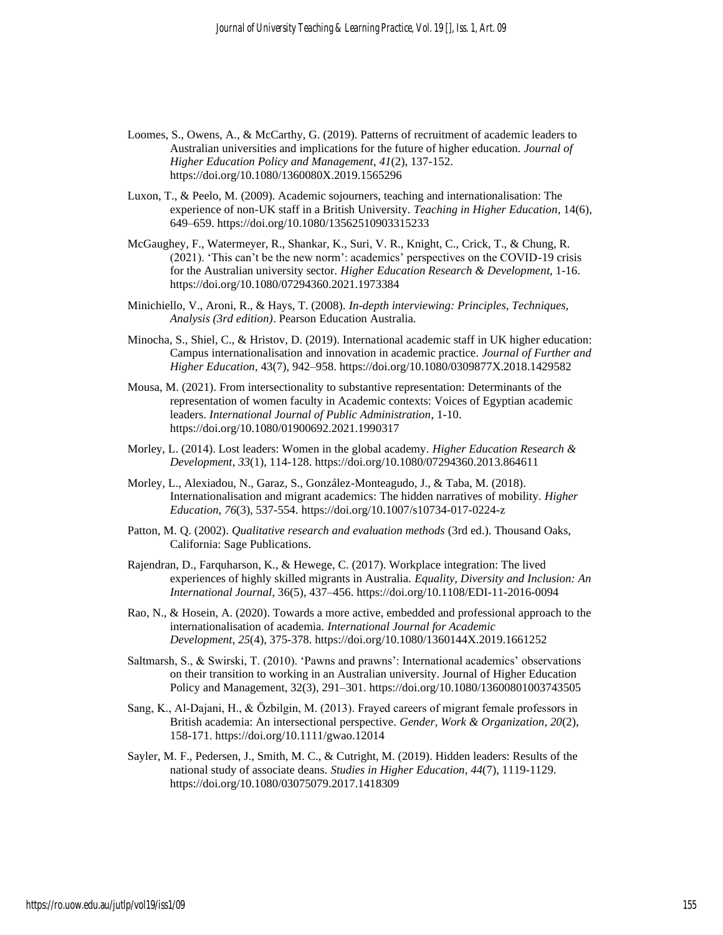- Loomes, S., Owens, A., & McCarthy, G. (2019). Patterns of recruitment of academic leaders to Australian universities and implications for the future of higher education. *Journal of Higher Education Policy and Management*, *41*(2), 137-152. [https://doi.org/10.1080/1360080X.2019.1565296](about:blank)
- Luxon, T., & Peelo, M. (2009). Academic sojourners, teaching and internationalisation: The experience of non-UK staff in a British University. *Teaching in Higher Education*, 14(6), 649–659. [https://doi.org/10.1080/13562510903315233](about:blank)
- McGaughey, F., Watermeyer, R., Shankar, K., Suri, V. R., Knight, C., Crick, T., & Chung, R. (2021). 'This can't be the new norm': academics' perspectives on the COVID-19 crisis for the Australian university sector. *Higher Education Research & Development*, 1-16. https://doi.org/10.1080/07294360.2021.1973384
- Minichiello, V., Aroni, R., & Hays, T. (2008). *In-depth interviewing: Principles, Techniques, Analysis (3rd edition)*. Pearson Education Australia.
- Minocha, S., Shiel, C., & Hristov, D. (2019). International academic staff in UK higher education: Campus internationalisation and innovation in academic practice. *Journal of Further and Higher Education*, 43(7), 942–958[. https://doi.org/10.1080/0309877X.2018.1429582](about:blank)
- Mousa, M. (2021). From intersectionality to substantive representation: Determinants of the representation of women faculty in Academic contexts: Voices of Egyptian academic leaders. *International Journal of Public Administration*, 1-10. [https://doi.org/10.1080/01900692.2021.1990317](about:blank)
- Morley, L. (2014). Lost leaders: Women in the global academy. *Higher Education Research & Development*, *33*(1), 114-128[. https://doi.org/10.1080/07294360.2013.864611](about:blank)
- Morley, L., Alexiadou, N., Garaz, S., González-Monteagudo, J., & Taba, M. (2018). Internationalisation and migrant academics: The hidden narratives of mobility. *Higher Education*, *76*(3), 537-554. [https://doi.org/10.1007/s10734-017-0224-z](about:blank)
- Patton, M. Q. (2002). *Qualitative research and evaluation methods* (3rd ed.). Thousand Oaks, California: Sage Publications.
- Rajendran, D., Farquharson, K., & Hewege, C. (2017). Workplace integration: The lived experiences of highly skilled migrants in Australia. *Equality, Diversity and Inclusion: An International Journal*, 36(5), 437–456. [https://doi.org/10.1108/EDI-11-2016-0094](about:blank)
- Rao, N., & Hosein, A. (2020). Towards a more active, embedded and professional approach to the internationalisation of academia. *International Journal for Academic Development*, *25*(4), 375-378[. https://doi.org/10.1080/1360144X.2019.1661252](about:blank)
- Saltmarsh, S., & Swirski, T. (2010). 'Pawns and prawns': International academics' observations on their transition to working in an Australian university. Journal of Higher Education Policy and Management, 32(3), 291–301. [https://doi.org/10.1080/13600801003743505](about:blank)
- Sang, K., Al‐Dajani, H., & Özbilgin, M. (2013). Frayed careers of migrant female professors in British academia: An intersectional perspective. *Gender, Work & Organization*, *20*(2), 158-171. [https://doi.org/10.1111/gwao.12014](about:blank)
- Sayler, M. F., Pedersen, J., Smith, M. C., & Cutright, M. (2019). Hidden leaders: Results of the national study of associate deans. *Studies in Higher Education*, *44*(7), 1119-1129. [https://doi.org/10.1080/03075079.2017.1418309](about:blank)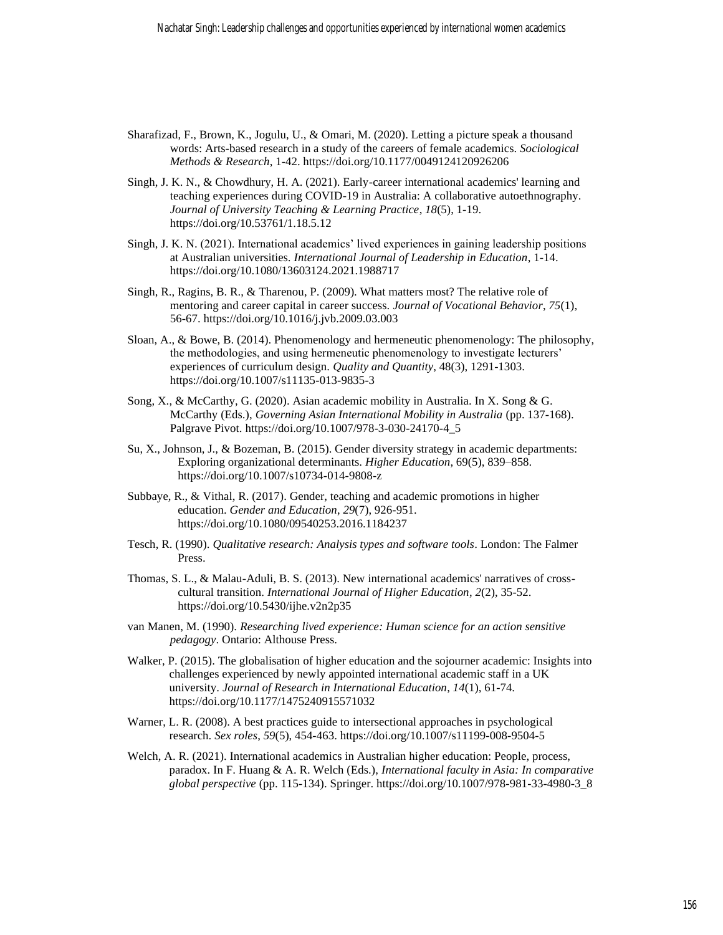- Sharafizad, F., Brown, K., Jogulu, U., & Omari, M. (2020). Letting a picture speak a thousand words: Arts-based research in a study of the careers of female academics. *Sociological Methods & Research*, 1-42[. https://doi.org/10.1177/0049124120926206](about:blank)
- Singh, J. K. N., & Chowdhury, H. A. (2021). Early-career international academics' learning and teaching experiences during COVID-19 in Australia: A collaborative autoethnography. *Journal of University Teaching & Learning Practice*, *18*(5), 1-19. [https://doi.org/10.53761/1.18.5.12](about:blank)
- Singh, J. K. N. (2021). International academics' lived experiences in gaining leadership positions at Australian universities. *International Journal of Leadership in Education*, 1-14. https://doi.org/10.1080/13603124.2021.1988717
- Singh, R., Ragins, B. R., & Tharenou, P. (2009). What matters most? The relative role of mentoring and career capital in career success. *Journal of Vocational Behavior*, *75*(1), 56-67. [https://doi.org/10.1016/j.jvb.2009.03.003](about:blank)
- Sloan, A., & Bowe, B. (2014). Phenomenology and hermeneutic phenomenology: The philosophy, the methodologies, and using hermeneutic phenomenology to investigate lecturers' experiences of curriculum design. *Quality and Quantity*, 48(3), 1291-1303. [https://doi.org/10.1007/s11135-013-9835-3](about:blank)
- Song, X., & McCarthy, G. (2020). Asian academic mobility in Australia. In X. Song & G. McCarthy (Eds.), *Governing Asian International Mobility in Australia* (pp. 137-168). Palgrave Pivot. https://doi.org/10.1007/978-3-030-24170-4\_5
- Su, X., Johnson, J., & Bozeman, B. (2015). Gender diversity strategy in academic departments: Exploring organizational determinants. *Higher Education*, 69(5), 839–858. https://doi.org/10.1007/s10734-014-9808-z
- Subbaye, R., & Vithal, R. (2017). Gender, teaching and academic promotions in higher education. *Gender and Education*, *29*(7), 926-951. [https://doi.org/10.1080/09540253.2016.1184237](about:blank)
- Tesch, R. (1990). *Qualitative research: Analysis types and software tools*. London: The Falmer Press.
- Thomas, S. L., & Malau-Aduli, B. S. (2013). New international academics' narratives of crosscultural transition. *International Journal of Higher Education*, *2*(2), 35-52. [https://doi.org/10.5430/ijhe.v2n2p35](about:blank)
- van Manen, M. (1990). *Researching lived experience: Human science for an action sensitive pedagogy*. Ontario: Althouse Press.
- Walker, P. (2015). The globalisation of higher education and the sojourner academic: Insights into challenges experienced by newly appointed international academic staff in a UK university. *Journal of Research in International Education*, *14*(1), 61-74. [https://doi.org/10.1177/1475240915571032](about:blank)
- Warner, L. R. (2008). A best practices guide to intersectional approaches in psychological research. *Sex roles*, *59*(5), 454-463. [https://doi.org/10.1007/s11199-008-9504-5](about:blank)
- Welch, A. R. (2021). International academics in Australian higher education: People, process, paradox. In F. Huang & A. R. Welch (Eds.), *International faculty in Asia: In comparative global perspective* (pp. 115-134). Springer. https://doi.org/10.1007/978-981-33-4980-3\_8